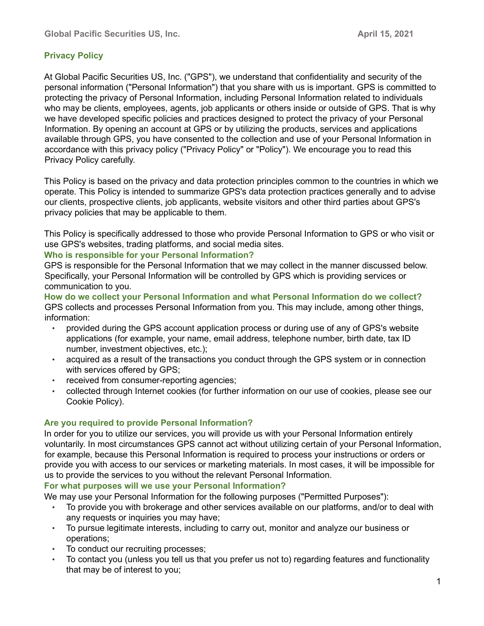# **Privacy Policy**

At Global Pacific Securities US, Inc. ("GPS"), we understand that confidentiality and security of the personal information ("Personal Information") that you share with us is important. GPS is committed to protecting the privacy of Personal Information, including Personal Information related to individuals who may be clients, employees, agents, job applicants or others inside or outside of GPS. That is why we have developed specific policies and practices designed to protect the privacy of your Personal Information. By opening an account at GPS or by utilizing the products, services and applications available through GPS, you have consented to the collection and use of your Personal Information in accordance with this privacy policy ("Privacy Policy" or "Policy"). We encourage you to read this Privacy Policy carefully.

This Policy is based on the privacy and data protection principles common to the countries in which we operate. This Policy is intended to summarize GPS's data protection practices generally and to advise our clients, prospective clients, job applicants, website visitors and other third parties about GPS's privacy policies that may be applicable to them.

This Policy is specifically addressed to those who provide Personal Information to GPS or who visit or use GPS's websites, trading platforms, and social media sites.

### **Who is responsible for your Personal Information?**

GPS is responsible for the Personal Information that we may collect in the manner discussed below. Specifically, your Personal Information will be controlled by GPS which is providing services or communication to you.

**How do we collect your Personal Information and what Personal Information do we collect?** GPS collects and processes Personal Information from you. This may include, among other things, information:

- provided during the GPS account application process or during use of any of GPS's website applications (for example, your name, email address, telephone number, birth date, tax ID number, investment objectives, etc.);
- acquired as a result of the transactions you conduct through the GPS system or in connection with services offered by GPS;
- received from consumer-reporting agencies;
- collected through Internet cookies (for further information on our use of cookies, please see our Cookie Policy).

## **Are you required to provide Personal Information?**

In order for you to utilize our services, you will provide us with your Personal Information entirely voluntarily. In most circumstances GPS cannot act without utilizing certain of your Personal Information, for example, because this Personal Information is required to process your instructions or orders or provide you with access to our services or marketing materials. In most cases, it will be impossible for us to provide the services to you without the relevant Personal Information.

## **For what purposes will we use your Personal Information?**

We may use your Personal Information for the following purposes ("Permitted Purposes"):

- To provide you with brokerage and other services available on our platforms, and/or to deal with any requests or inquiries you may have;
- To pursue legitimate interests, including to carry out, monitor and analyze our business or operations;
- To conduct our recruiting processes;
- To contact you (unless you tell us that you prefer us not to) regarding features and functionality that may be of interest to you;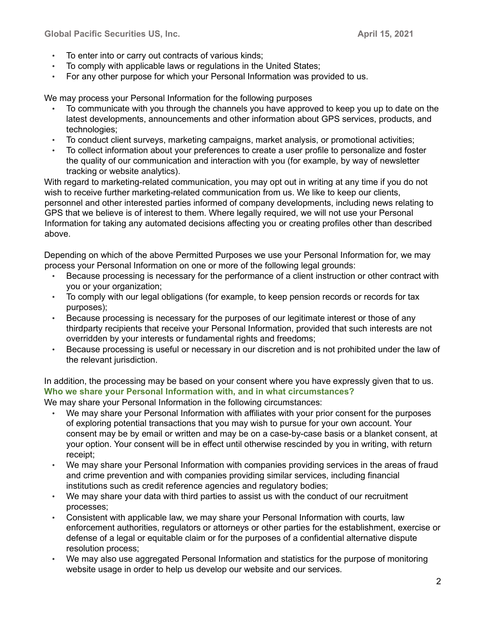- To enter into or carry out contracts of various kinds;
- To comply with applicable laws or regulations in the United States;
- For any other purpose for which your Personal Information was provided to us.

We may process your Personal Information for the following purposes

- To communicate with you through the channels you have approved to keep you up to date on the latest developments, announcements and other information about GPS services, products, and technologies;
- To conduct client surveys, marketing campaigns, market analysis, or promotional activities;
- To collect information about your preferences to create a user profile to personalize and foster the quality of our communication and interaction with you (for example, by way of newsletter tracking or website analytics).

With regard to marketing-related communication, you may opt out in writing at any time if you do not wish to receive further marketing-related communication from us. We like to keep our clients, personnel and other interested parties informed of company developments, including news relating to GPS that we believe is of interest to them. Where legally required, we will not use your Personal Information for taking any automated decisions affecting you or creating profiles other than described above.

Depending on which of the above Permitted Purposes we use your Personal Information for, we may process your Personal Information on one or more of the following legal grounds:

- Because processing is necessary for the performance of a client instruction or other contract with you or your organization;
- To comply with our legal obligations (for example, to keep pension records or records for tax purposes);
- Because processing is necessary for the purposes of our legitimate interest or those of any thirdparty recipients that receive your Personal Information, provided that such interests are not overridden by your interests or fundamental rights and freedoms;
- Because processing is useful or necessary in our discretion and is not prohibited under the law of the relevant jurisdiction.

In addition, the processing may be based on your consent where you have expressly given that to us. **Who we share your Personal Information with, and in what circumstances?**

We may share your Personal Information in the following circumstances:

- We may share your Personal Information with affiliates with your prior consent for the purposes of exploring potential transactions that you may wish to pursue for your own account. Your consent may be by email or written and may be on a case-by-case basis or a blanket consent, at your option. Your consent will be in effect until otherwise rescinded by you in writing, with return receipt;
- We may share your Personal Information with companies providing services in the areas of fraud and crime prevention and with companies providing similar services, including financial institutions such as credit reference agencies and regulatory bodies;
- We may share your data with third parties to assist us with the conduct of our recruitment processes;
- Consistent with applicable law, we may share your Personal Information with courts, law enforcement authorities, regulators or attorneys or other parties for the establishment, exercise or defense of a legal or equitable claim or for the purposes of a confidential alternative dispute resolution process;
- We may also use aggregated Personal Information and statistics for the purpose of monitoring website usage in order to help us develop our website and our services.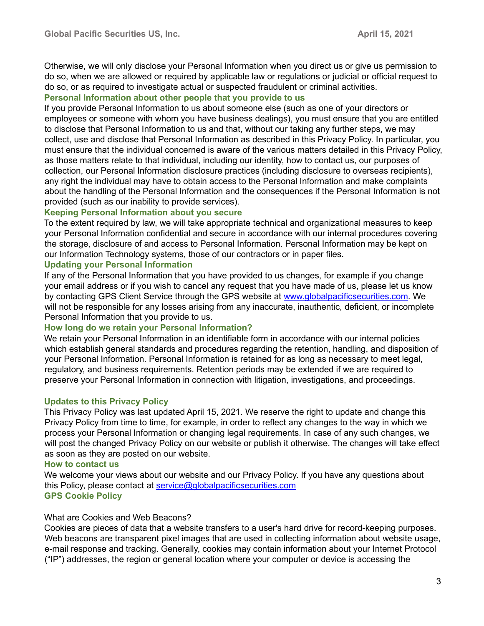Otherwise, we will only disclose your Personal Information when you direct us or give us permission to do so, when we are allowed or required by applicable law or regulations or judicial or official request to do so, or as required to investigate actual or suspected fraudulent or criminal activities.

### **Personal Information about other people that you provide to us**

If you provide Personal Information to us about someone else (such as one of your directors or employees or someone with whom you have business dealings), you must ensure that you are entitled to disclose that Personal Information to us and that, without our taking any further steps, we may collect, use and disclose that Personal Information as described in this Privacy Policy. In particular, you must ensure that the individual concerned is aware of the various matters detailed in this Privacy Policy, as those matters relate to that individual, including our identity, how to contact us, our purposes of collection, our Personal Information disclosure practices (including disclosure to overseas recipients), any right the individual may have to obtain access to the Personal Information and make complaints about the handling of the Personal Information and the consequences if the Personal Information is not provided (such as our inability to provide services).

### **Keeping Personal Information about you secure**

To the extent required by law, we will take appropriate technical and organizational measures to keep your Personal Information confidential and secure in accordance with our internal procedures covering the storage, disclosure of and access to Personal Information. Personal Information may be kept on our Information Technology systems, those of our contractors or in paper files.

### **Updating your Personal Information**

If any of the Personal Information that you have provided to us changes, for example if you change your email address or if you wish to cancel any request that you have made of us, please let us know by con[t](https://www.interactivebrokers.com/en/index.php?f=1560)acting GPS Client Service through the GPS website at [www.globalpacificsecurities.com.](https://www.interactivebrokers.com/en/index.php?f=1560) [W](https://www.interactivebrokers.com/en/index.php?f=1560)e will not be responsible for any losses arising from any inaccurate, inauthentic, deficient, or incomplete Personal Information that you provide to us.

#### **How long do we retain your Personal Information?**

We retain your Personal Information in an identifiable form in accordance with our internal policies which establish general standards and procedures regarding the retention, handling, and disposition of your Personal Information. Personal Information is retained for as long as necessary to meet legal, regulatory, and business requirements. Retention periods may be extended if we are required to preserve your Personal Information in connection with litigation, investigations, and proceedings.

## **Updates to this Privacy Policy**

This Privacy Policy was last updated April 15, 2021. We reserve the right to update and change this Privacy Policy from time to time, for example, in order to reflect any changes to the way in which we process your Personal Information or changing legal requirements. In case of any such changes, we will post the changed Privacy Policy on our website or publish it otherwise. The changes will take effect as soon as they are posted on our website.

#### **How to contact us**

We welcome your views about our website and our Privacy Policy. If you have any questions about this Policy, please contact at service@globalpacificsecurities.com **GPS Cookie Policy** 

## What are Cookies and Web Beacons?

Cookies are pieces of data that a website transfers to a user's hard drive for record-keeping purposes. Web beacons are transparent pixel images that are used in collecting information about website usage, e-mail response and tracking. Generally, cookies may contain information about your Internet Protocol ("IP") addresses, the region or general location where your computer or device is accessing the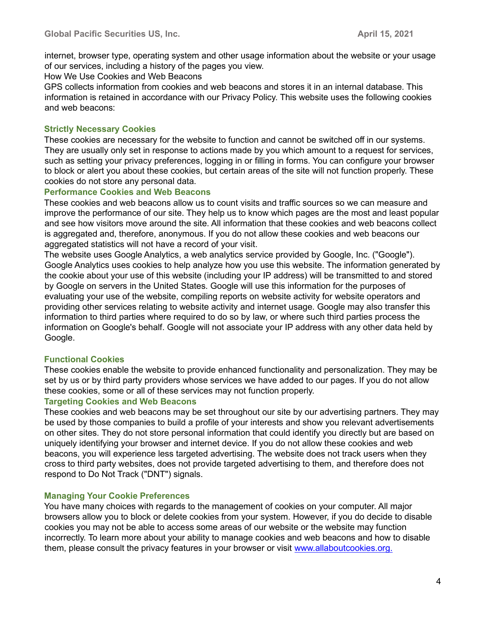internet, browser type, operating system and other usage information about the website or your usage of our services, including a history of the pages you view.

How We Use Cookies and Web Beacons

GPS collects information from cookies and web beacons and stores it in an internal database. This information is retained in accordance with our Privacy Policy. This website uses the following cookies and web beacons:

### **Strictly Necessary Cookies**

These cookies are necessary for the website to function and cannot be switched off in our systems. They are usually only set in response to actions made by you which amount to a request for services, such as setting your privacy preferences, logging in or filling in forms. You can configure your browser to block or alert you about these cookies, but certain areas of the site will not function properly. These cookies do not store any personal data.

### **Performance Cookies and Web Beacons**

These cookies and web beacons allow us to count visits and traffic sources so we can measure and improve the performance of our site. They help us to know which pages are the most and least popular and see how visitors move around the site. All information that these cookies and web beacons collect is aggregated and, therefore, anonymous. If you do not allow these cookies and web beacons our aggregated statistics will not have a record of your visit.

The website uses Google Analytics, a web analytics service provided by Google, Inc. ("Google"). Google Analytics uses cookies to help analyze how you use this website. The information generated by the cookie about your use of this website (including your IP address) will be transmitted to and stored by Google on servers in the United States. Google will use this information for the purposes of evaluating your use of the website, compiling reports on website activity for website operators and providing other services relating to website activity and internet usage. Google may also transfer this information to third parties where required to do so by law, or where such third parties process the information on Google's behalf. Google will not associate your IP address with any other data held by Google.

## **Functional Cookies**

These cookies enable the website to provide enhanced functionality and personalization. They may be set by us or by third party providers whose services we have added to our pages. If you do not allow these cookies, some or all of these services may not function properly.

#### **Targeting Cookies and Web Beacons**

These cookies and web beacons may be set throughout our site by our advertising partners. They may be used by those companies to build a profile of your interests and show you relevant advertisements on other sites. They do not store personal information that could identify you directly but are based on uniquely identifying your browser and internet device. If you do not allow these cookies and web beacons, you will experience less targeted advertising. The website does not track users when they cross to third party websites, does not provide targeted advertising to them, and therefore does not respond to Do Not Track ("DNT") signals.

#### **Managing Your Cookie Preferences**

You have many choices with regards to the management of cookies on your computer. All major browsers allow you to block or delete cookies from your system. However, if you do decide to disable cookies you may not be able to access some areas of our website or the website may function incorrectly. To learn more about your ability to manage cookies and web beacons and how to disable them, please consult the privacy features in your browser or visi[t](http://www.allaboutcookies.org/) [www.allaboutcookies.org.](http://www.allaboutcookies.org/)